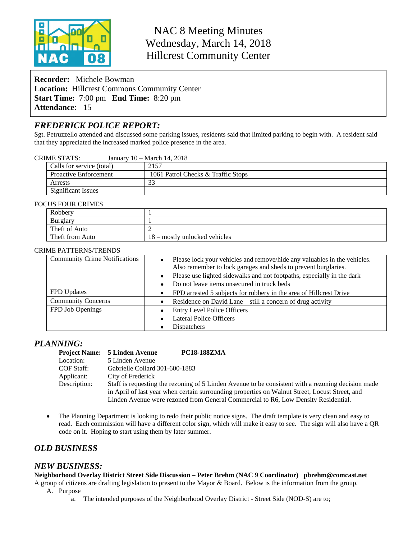

NAC 8 Meeting Minutes Wednesday, March 14, 2018 Hillcrest Community Center

**Recorder:** Michele Bowman **Location:** Hillcrest Commons Community Center **Start Time:** 7:00 pm **End Time:** 8:20 pm **Attendance**: 15

# *FREDERICK POLICE REPORT:*

Sgt. Petruzzello attended and discussed some parking issues, residents said that limited parking to begin with. A resident said that they appreciated the increased marked police presence in the area.

#### CRIME STATS: January 10 – March 14, 2018

| Calls for service (total)    | 2157                               |
|------------------------------|------------------------------------|
| <b>Proactive Enforcement</b> | 1061 Patrol Checks & Traffic Stops |
| Arrests                      |                                    |
| Significant Issues           |                                    |

#### FOCUS FOUR CRIMES

| Robbery         |                               |
|-----------------|-------------------------------|
| <b>Burglary</b> |                               |
| Theft of Auto   |                               |
| Theft from Auto | 18 – mostly unlocked vehicles |

#### CRIME PATTERNS/TRENDS

| <b>Community Crime Notifications</b> | Please lock your vehicles and remove/hide any valuables in the vehicles.<br>$\bullet$<br>Also remember to lock garages and sheds to prevent burglaries. |  |
|--------------------------------------|---------------------------------------------------------------------------------------------------------------------------------------------------------|--|
|                                      | Please use lighted sidewalks and not footpaths, especially in the dark<br>$\bullet$                                                                     |  |
|                                      | Do not leave items unsecured in truck beds<br>$\bullet$                                                                                                 |  |
| <b>FPD</b> Updates                   | FPD arrested 5 subjects for robbery in the area of Hillcrest Drive<br>$\bullet$                                                                         |  |
| <b>Community Concerns</b>            | Residence on David Lane – still a concern of drug activity                                                                                              |  |
| FPD Job Openings                     | <b>Entry Level Police Officers</b><br>$\bullet$                                                                                                         |  |
|                                      | <b>Lateral Police Officers</b><br>$\bullet$                                                                                                             |  |
|                                      | <b>Dispatchers</b>                                                                                                                                      |  |

### *PLANNING:*

|              | Project Name: 5 Linden Avenue  | <b>PC18-188ZMA</b>                                                                                 |
|--------------|--------------------------------|----------------------------------------------------------------------------------------------------|
| Location:    | 5 Linden Avenue                |                                                                                                    |
| COF Staff:   | Gabrielle Collard 301-600-1883 |                                                                                                    |
| Applicant:   | City of Frederick              |                                                                                                    |
| Description: |                                | Staff is requesting the rezoning of 5 Linden Avenue to be consistent with a rezoning decision made |
|              |                                | in April of last year when certain surrounding properties on Walnut Street, Locust Street, and     |
|              |                                | Linden Avenue were rezoned from General Commercial to R6, Low Density Residential.                 |

• The Planning Department is looking to redo their public notice signs. The draft template is very clean and easy to read. Each commission will have a different color sign, which will make it easy to see. The sign will also have a QR code on it. Hoping to start using them by later summer.

## *OLD BUSINESS*

### *NEW BUSINESS:*

**Neighborhood Overlay District Street Side Discussion – Peter Brehm (NAC 9 Coordinator) pbrehm@comcast.net**

A group of citizens are drafting legislation to present to the Mayor & Board. Below is the information from the group. A. Purpose

a. The intended purposes of the Neighborhood Overlay District - Street Side (NOD-S) are to;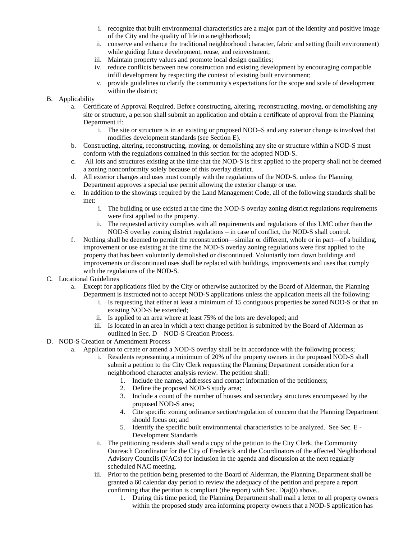- i. recognize that built environmental characteristics are a major part of the identity and positive image of the City and the quality of life in a neighborhood;
- ii. conserve and enhance the traditional neighborhood character, fabric and setting (built environment) while guiding future development, reuse, and reinvestment;
- iii. Maintain property values and promote local design qualities;
- iv. reduce conflicts between new construction and existing development by encouraging compatible infill development by respecting the context of existing built environment;
- v. provide guidelines to clarify the community's expectations for the scope and scale of development within the district;

### B. Applicability

- a. Certificate of Approval Required. Before constructing, altering, reconstructing, moving, or demolishing any site or structure, a person shall submit an application and obtain a certificate of approval from the Planning Department if:
	- i. The site or structure is in an existing or proposed NOD–S and any exterior change is involved that modifies development standards (see Section E).
- b. Constructing, altering, reconstructing, moving, or demolishing any site or structure within a NOD-S must conform with the regulations contained in this section for the adopted NOD-S.
- c. All lots and structures existing at the time that the NOD-S is first applied to the property shall not be deemed a zoning nonconformity solely because of this overlay district.
- d. All exterior changes and uses must comply with the regulations of the NOD-S, unless the Planning Department approves a special use permit allowing the exterior change or use.
- e. In addition to the showings required by the Land Management Code, all of the following standards shall be met:
	- i. The building or use existed at the time the NOD-S overlay zoning district regulations requirements were first applied to the property.
	- ii. The requested activity complies with all requirements and regulations of this LMC other than the NOD-S overlay zoning district regulations – in case of conflict, the NOD-S shall control.
- f. Nothing shall be deemed to permit the reconstruction—similar or different, whole or in part—of a building, improvement or use existing at the time the NOD-S overlay zoning regulations were first applied to the property that has been voluntarily demolished or discontinued. Voluntarily torn down buildings and improvements or discontinued uses shall be replaced with buildings, improvements and uses that comply with the regulations of the NOD-S.
- C. Locational Guidelines
	- a. Except for applications filed by the City or otherwise authorized by the Board of Alderman, the Planning Department is instructed not to accept NOD-S applications unless the application meets all the following:
		- i. Is requesting that either at least a minimum of 15 contiguous properties be zoned NOD-S or that an existing NOD-S be extended;
		- ii. Is applied to an area where at least 75% of the lots are developed; and
		- iii. Is located in an area in which a text change petition is submitted by the Board of Alderman as outlined in Sec. D – NOD-S Creation Process.
- D. NOD-S Creation or Amendment Process
	- a. Application to create or amend a NOD-S overlay shall be in accordance with the following process;
		- i. Residents representing a minimum of 20% of the property owners in the proposed NOD-S shall submit a petition to the City Clerk requesting the Planning Department consideration for a neighborhood character analysis review. The petition shall:
			- 1. Include the names, addresses and contact information of the petitioners;
			- 2. Define the proposed NOD-S study area;
			- 3. Include a count of the number of houses and secondary structures encompassed by the proposed NOD-S area;
			- 4. Cite specific zoning ordinance section/regulation of concern that the Planning Department should focus on; and
			- 5. Identify the specific built environmental characteristics to be analyzed. See Sec. E Development Standards
		- ii. The petitioning residents shall send a copy of the petition to the City Clerk, the Community Outreach Coordinator for the City of Frederick and the Coordinators of the affected Neighborhood Advisory Councils (NACs) for inclusion in the agenda and discussion at the next regularly scheduled NAC meeting.
		- iii. Prior to the petition being presented to the Board of Alderman, the Planning Department shall be granted a 60 calendar day period to review the adequacy of the petition and prepare a report confirming that the petition is compliant (the report) with Sec.  $D(a)(i)$  above..
			- 1. During this time period, the Planning Department shall mail a letter to all property owners within the proposed study area informing property owners that a NOD-S application has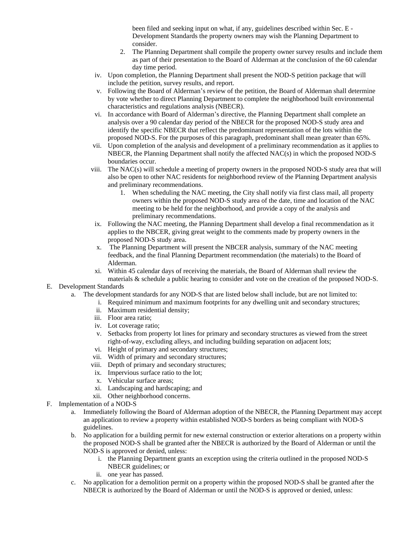been filed and seeking input on what, if any, guidelines described within Sec. E - Development Standards the property owners may wish the Planning Department to consider.

- 2. The Planning Department shall compile the property owner survey results and include them as part of their presentation to the Board of Alderman at the conclusion of the 60 calendar day time period.
- iv. Upon completion, the Planning Department shall present the NOD-S petition package that will include the petition, survey results, and report.
- v. Following the Board of Alderman's review of the petition, the Board of Alderman shall determine by vote whether to direct Planning Department to complete the neighborhood built environmental characteristics and regulations analysis (NBECR).
- vi. In accordance with Board of Alderman's directive, the Planning Department shall complete an analysis over a 90 calendar day period of the NBECR for the proposed NOD-S study area and identify the specific NBECR that reflect the predominant representation of the lots within the proposed NOD-S. For the purposes of this paragraph, predominant shall mean greater than 65%.
- vii. Upon completion of the analysis and development of a preliminary recommendation as it applies to NBECR, the Planning Department shall notify the affected NAC(s) in which the proposed NOD-S boundaries occur.
- viii. The NAC(s) will schedule a meeting of property owners in the proposed NOD-S study area that will also be open to other NAC residents for neighborhood review of the Planning Department analysis and preliminary recommendations.
	- 1. When scheduling the NAC meeting, the City shall notify via first class mail, all property owners within the proposed NOD-S study area of the date, time and location of the NAC meeting to be held for the neighborhood, and provide a copy of the analysis and preliminary recommendations.
- ix. Following the NAC meeting, the Planning Department shall develop a final recommendation as it applies to the NBCER, giving great weight to the comments made by property owners in the proposed NOD-S study area.
- x. The Planning Department will present the NBCER analysis, summary of the NAC meeting feedback, and the final Planning Department recommendation (the materials) to the Board of Alderman.
- xi. Within 45 calendar days of receiving the materials, the Board of Alderman shall review the materials & schedule a public hearing to consider and vote on the creation of the proposed NOD-S.
- E. Development Standards
	- a. The development standards for any NOD-S that are listed below shall include, but are not limited to:
		- i. Required minimum and maximum footprints for any dwelling unit and secondary structures;
			- ii. Maximum residential density;
			- iii. Floor area ratio;
			- iv. Lot coverage ratio;
			- v. Setbacks from property lot lines for primary and secondary structures as viewed from the street right-of-way, excluding alleys, and including building separation on adjacent lots;
			- vi. Height of primary and secondary structures;
			- vii. Width of primary and secondary structures;
		- viii. Depth of primary and secondary structures;
		- ix. Impervious surface ratio to the lot;
		- x. Vehicular surface areas;
		- xi. Landscaping and hardscaping; and
		- xii. Other neighborhood concerns.
- F. Implementation of a NOD-S
	- a. Immediately following the Board of Alderman adoption of the NBECR, the Planning Department may accept an application to review a property within established NOD-S borders as being compliant with NOD-S guidelines.
	- b. No application for a building permit for new external construction or exterior alterations on a property within the proposed NOD-S shall be granted after the NBECR is authorized by the Board of Alderman or until the NOD-S is approved or denied, unless:
		- i. the Planning Department grants an exception using the criteria outlined in the proposed NOD-S NBECR guidelines; or
		- ii. one year has passed.
	- c. No application for a demolition permit on a property within the proposed NOD-S shall be granted after the NBECR is authorized by the Board of Alderman or until the NOD-S is approved or denied, unless: